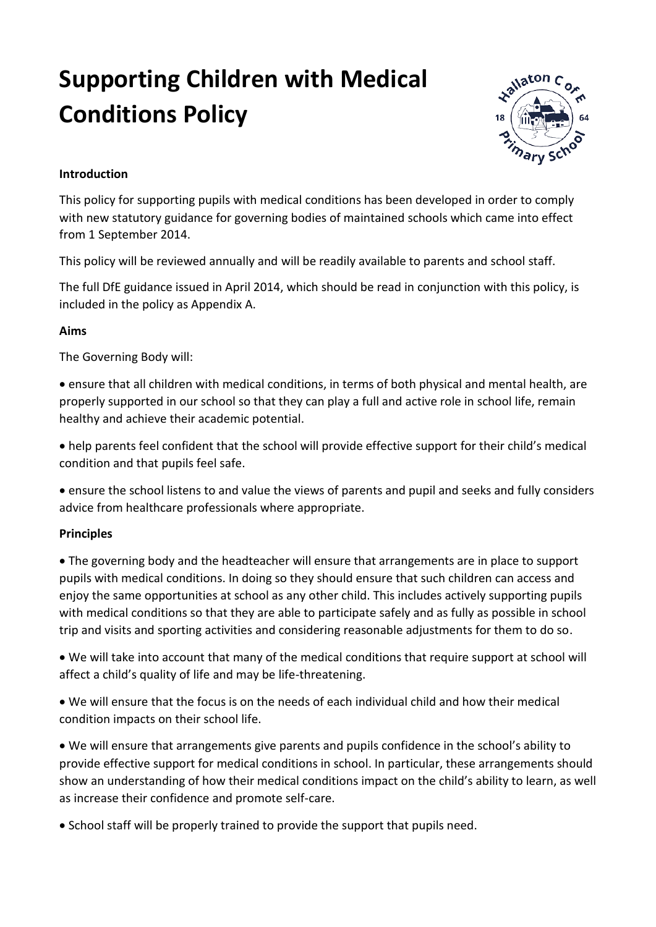# **Supporting Children with Medical Conditions Policy**



# **Introduction**

This policy for supporting pupils with medical conditions has been developed in order to comply with new statutory guidance for governing bodies of maintained schools which came into effect from 1 September 2014.

This policy will be reviewed annually and will be readily available to parents and school staff.

The full DfE guidance issued in April 2014, which should be read in conjunction with this policy, is included in the policy as Appendix A.

## **Aims**

The Governing Body will:

 ensure that all children with medical conditions, in terms of both physical and mental health, are properly supported in our school so that they can play a full and active role in school life, remain healthy and achieve their academic potential.

 help parents feel confident that the school will provide effective support for their child's medical condition and that pupils feel safe.

 ensure the school listens to and value the views of parents and pupil and seeks and fully considers advice from healthcare professionals where appropriate.

## **Principles**

 The governing body and the headteacher will ensure that arrangements are in place to support pupils with medical conditions. In doing so they should ensure that such children can access and enjoy the same opportunities at school as any other child. This includes actively supporting pupils with medical conditions so that they are able to participate safely and as fully as possible in school trip and visits and sporting activities and considering reasonable adjustments for them to do so.

 We will take into account that many of the medical conditions that require support at school will affect a child's quality of life and may be life-threatening.

 We will ensure that the focus is on the needs of each individual child and how their medical condition impacts on their school life.

 We will ensure that arrangements give parents and pupils confidence in the school's ability to provide effective support for medical conditions in school. In particular, these arrangements should show an understanding of how their medical conditions impact on the child's ability to learn, as well as increase their confidence and promote self-care.

• School staff will be properly trained to provide the support that pupils need.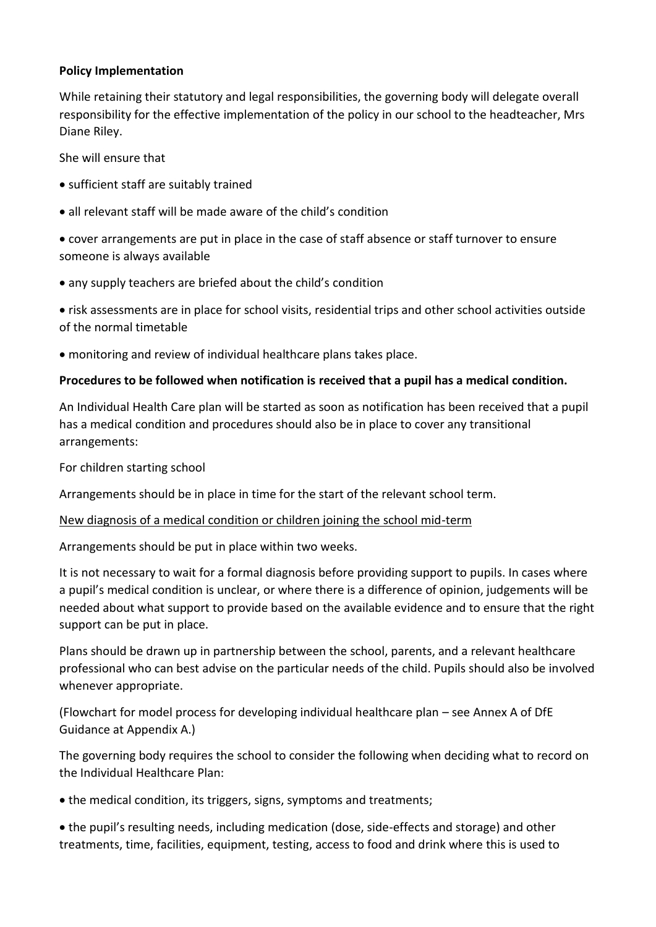## **Policy Implementation**

While retaining their statutory and legal responsibilities, the governing body will delegate overall responsibility for the effective implementation of the policy in our school to the headteacher, Mrs Diane Riley.

She will ensure that

- sufficient staff are suitably trained
- all relevant staff will be made aware of the child's condition

 cover arrangements are put in place in the case of staff absence or staff turnover to ensure someone is always available

any supply teachers are briefed about the child's condition

 risk assessments are in place for school visits, residential trips and other school activities outside of the normal timetable

monitoring and review of individual healthcare plans takes place.

## **Procedures to be followed when notification is received that a pupil has a medical condition.**

An Individual Health Care plan will be started as soon as notification has been received that a pupil has a medical condition and procedures should also be in place to cover any transitional arrangements:

For children starting school

Arrangements should be in place in time for the start of the relevant school term.

## New diagnosis of a medical condition or children joining the school mid-term

Arrangements should be put in place within two weeks.

It is not necessary to wait for a formal diagnosis before providing support to pupils. In cases where a pupil's medical condition is unclear, or where there is a difference of opinion, judgements will be needed about what support to provide based on the available evidence and to ensure that the right support can be put in place.

Plans should be drawn up in partnership between the school, parents, and a relevant healthcare professional who can best advise on the particular needs of the child. Pupils should also be involved whenever appropriate.

(Flowchart for model process for developing individual healthcare plan – see Annex A of DfE Guidance at Appendix A.)

The governing body requires the school to consider the following when deciding what to record on the Individual Healthcare Plan:

• the medical condition, its triggers, signs, symptoms and treatments;

 the pupil's resulting needs, including medication (dose, side-effects and storage) and other treatments, time, facilities, equipment, testing, access to food and drink where this is used to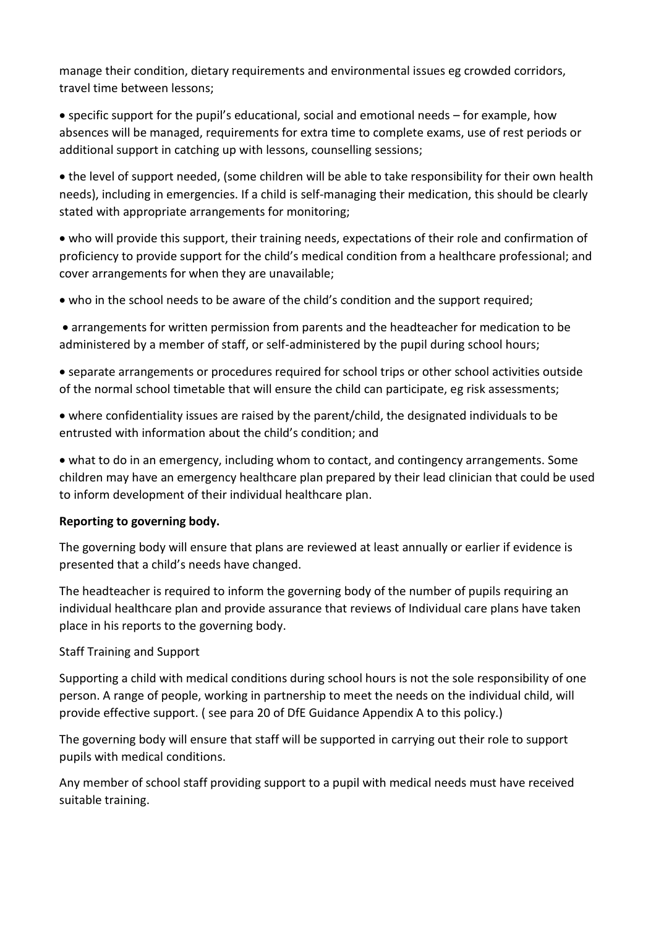manage their condition, dietary requirements and environmental issues eg crowded corridors, travel time between lessons;

 specific support for the pupil's educational, social and emotional needs – for example, how absences will be managed, requirements for extra time to complete exams, use of rest periods or additional support in catching up with lessons, counselling sessions;

 the level of support needed, (some children will be able to take responsibility for their own health needs), including in emergencies. If a child is self-managing their medication, this should be clearly stated with appropriate arrangements for monitoring;

 who will provide this support, their training needs, expectations of their role and confirmation of proficiency to provide support for the child's medical condition from a healthcare professional; and cover arrangements for when they are unavailable;

who in the school needs to be aware of the child's condition and the support required;

 arrangements for written permission from parents and the headteacher for medication to be administered by a member of staff, or self-administered by the pupil during school hours;

 separate arrangements or procedures required for school trips or other school activities outside of the normal school timetable that will ensure the child can participate, eg risk assessments;

 where confidentiality issues are raised by the parent/child, the designated individuals to be entrusted with information about the child's condition; and

 what to do in an emergency, including whom to contact, and contingency arrangements. Some children may have an emergency healthcare plan prepared by their lead clinician that could be used to inform development of their individual healthcare plan.

# **Reporting to governing body.**

The governing body will ensure that plans are reviewed at least annually or earlier if evidence is presented that a child's needs have changed.

The headteacher is required to inform the governing body of the number of pupils requiring an individual healthcare plan and provide assurance that reviews of Individual care plans have taken place in his reports to the governing body.

# Staff Training and Support

Supporting a child with medical conditions during school hours is not the sole responsibility of one person. A range of people, working in partnership to meet the needs on the individual child, will provide effective support. ( see para 20 of DfE Guidance Appendix A to this policy.)

The governing body will ensure that staff will be supported in carrying out their role to support pupils with medical conditions.

Any member of school staff providing support to a pupil with medical needs must have received suitable training.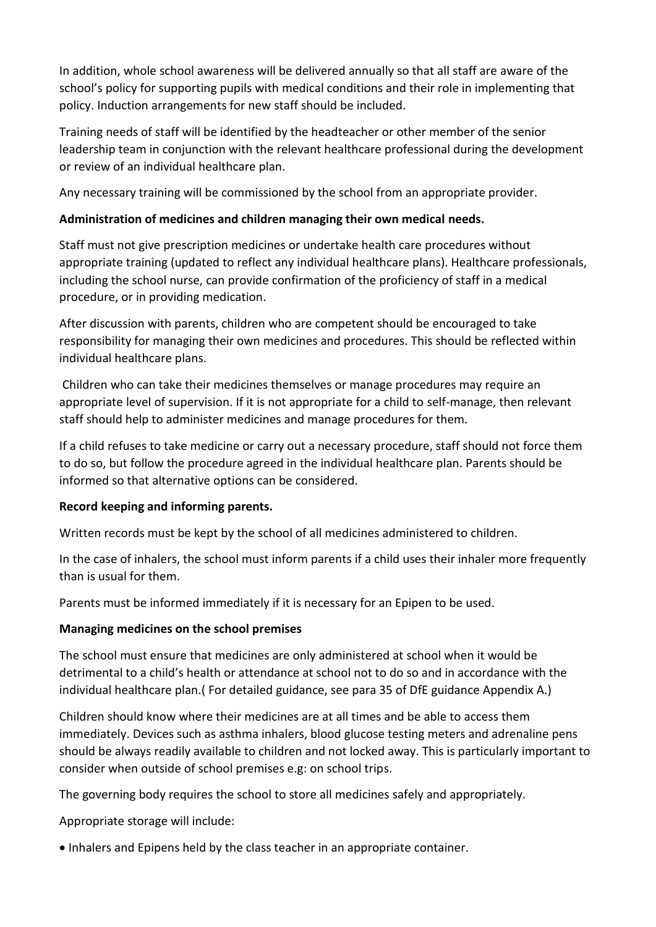In addition, whole school awareness will be delivered annually so that all staff are aware of the school's policy for supporting pupils with medical conditions and their role in implementing that policy. Induction arrangements for new staff should be included.

Training needs of staff will be identified by the headteacher or other member of the senior leadership team in conjunction with the relevant healthcare professional during the development or review of an individual healthcare plan.

Any necessary training will be commissioned by the school from an appropriate provider.

# **Administration of medicines and children managing their own medical needs.**

Staff must not give prescription medicines or undertake health care procedures without appropriate training (updated to reflect any individual healthcare plans). Healthcare professionals, including the school nurse, can provide confirmation of the proficiency of staff in a medical procedure, or in providing medication.

After discussion with parents, children who are competent should be encouraged to take responsibility for managing their own medicines and procedures. This should be reflected within individual healthcare plans.

Children who can take their medicines themselves or manage procedures may require an appropriate level of supervision. If it is not appropriate for a child to self-manage, then relevant staff should help to administer medicines and manage procedures for them.

If a child refuses to take medicine or carry out a necessary procedure, staff should not force them to do so, but follow the procedure agreed in the individual healthcare plan. Parents should be informed so that alternative options can be considered.

# **Record keeping and informing parents.**

Written records must be kept by the school of all medicines administered to children.

In the case of inhalers, the school must inform parents if a child uses their inhaler more frequently than is usual for them.

Parents must be informed immediately if it is necessary for an Epipen to be used.

# **Managing medicines on the school premises**

The school must ensure that medicines are only administered at school when it would be detrimental to a child's health or attendance at school not to do so and in accordance with the individual healthcare plan.( For detailed guidance, see para 35 of DfE guidance Appendix A.)

Children should know where their medicines are at all times and be able to access them immediately. Devices such as asthma inhalers, blood glucose testing meters and adrenaline pens should be always readily available to children and not locked away. This is particularly important to consider when outside of school premises e.g: on school trips.

The governing body requires the school to store all medicines safely and appropriately.

Appropriate storage will include:

Inhalers and Epipens held by the class teacher in an appropriate container.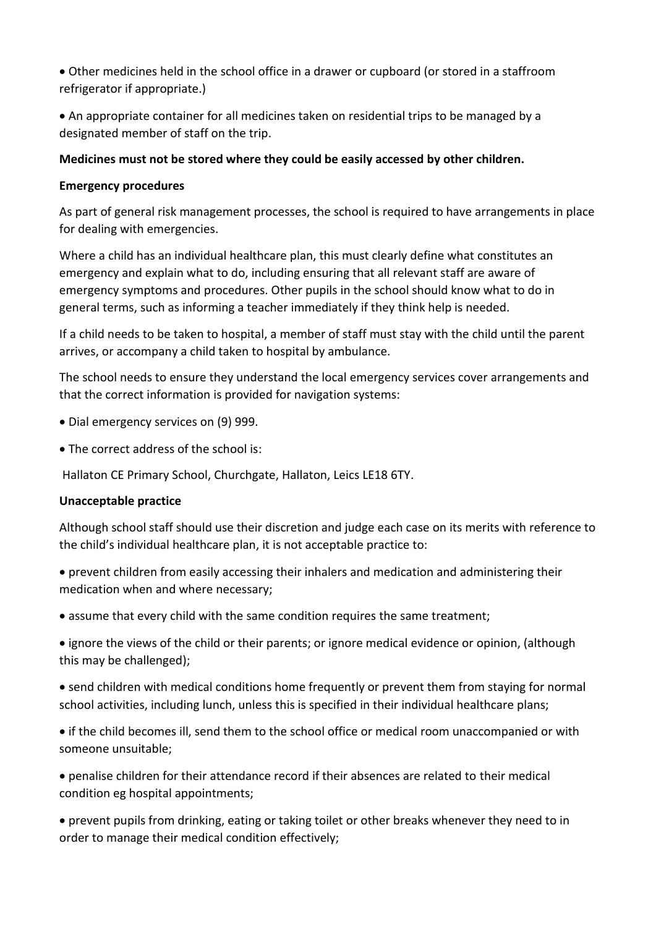Other medicines held in the school office in a drawer or cupboard (or stored in a staffroom refrigerator if appropriate.)

 An appropriate container for all medicines taken on residential trips to be managed by a designated member of staff on the trip.

# **Medicines must not be stored where they could be easily accessed by other children.**

## **Emergency procedures**

As part of general risk management processes, the school is required to have arrangements in place for dealing with emergencies.

Where a child has an individual healthcare plan, this must clearly define what constitutes an emergency and explain what to do, including ensuring that all relevant staff are aware of emergency symptoms and procedures. Other pupils in the school should know what to do in general terms, such as informing a teacher immediately if they think help is needed.

If a child needs to be taken to hospital, a member of staff must stay with the child until the parent arrives, or accompany a child taken to hospital by ambulance.

The school needs to ensure they understand the local emergency services cover arrangements and that the correct information is provided for navigation systems:

- Dial emergency services on (9) 999.
- The correct address of the school is:

Hallaton CE Primary School, Churchgate, Hallaton, Leics LE18 6TY.

## **Unacceptable practice**

Although school staff should use their discretion and judge each case on its merits with reference to the child's individual healthcare plan, it is not acceptable practice to:

 prevent children from easily accessing their inhalers and medication and administering their medication when and where necessary;

• assume that every child with the same condition requires the same treatment;

 ignore the views of the child or their parents; or ignore medical evidence or opinion, (although this may be challenged);

 send children with medical conditions home frequently or prevent them from staying for normal school activities, including lunch, unless this is specified in their individual healthcare plans;

 if the child becomes ill, send them to the school office or medical room unaccompanied or with someone unsuitable;

 penalise children for their attendance record if their absences are related to their medical condition eg hospital appointments;

 prevent pupils from drinking, eating or taking toilet or other breaks whenever they need to in order to manage their medical condition effectively;